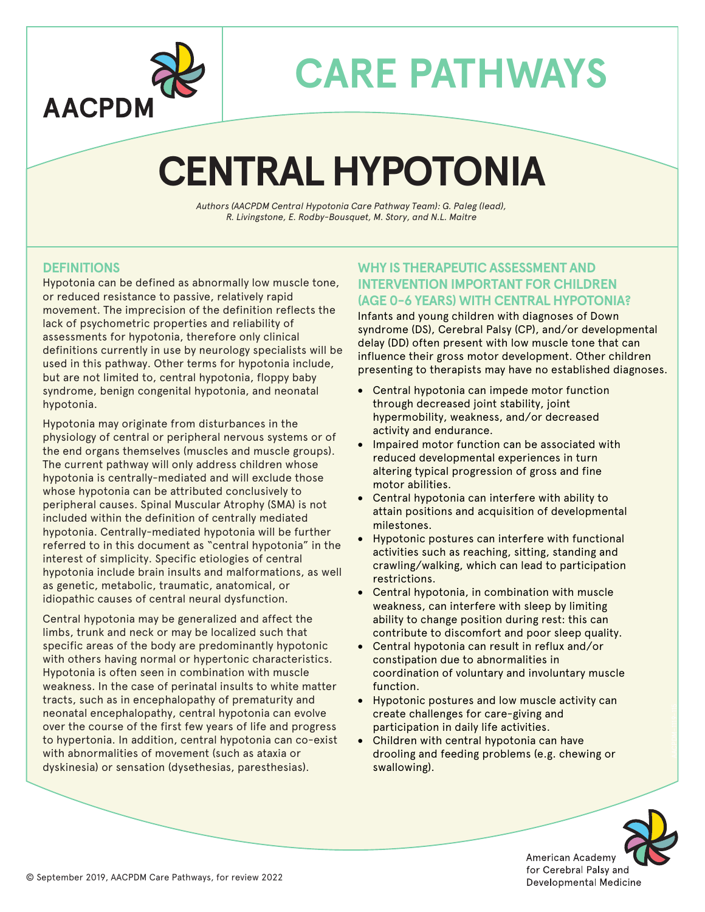

## **CENTRAL HYPOTONIA**

*Authors (AACPDM Central Hypotonia Care Pathway Team): G. Paleg (lead), R. Livingstone, E. Rodby-Bousquet, M. Story, and N.L. Maitre*

### **DEFINITIONS**

Hypotonia can be defined as abnormally low muscle tone, or reduced resistance to passive, relatively rapid movement. The imprecision of the definition reflects the lack of psychometric properties and reliability of assessments for hypotonia, therefore only clinical definitions currently in use by neurology specialists will be used in this pathway. Other terms for hypotonia include, but are not limited to, central hypotonia, floppy baby syndrome, benign congenital hypotonia, and neonatal hypotonia.

Hypotonia may originate from disturbances in the physiology of central or peripheral nervous systems or of the end organs themselves (muscles and muscle groups). The current pathway will only address children whose hypotonia is centrally-mediated and will exclude those whose hypotonia can be attributed conclusively to peripheral causes. Spinal Muscular Atrophy (SMA) is not included within the definition of centrally mediated hypotonia. Centrally-mediated hypotonia will be further referred to in this document as "central hypotonia" in the interest of simplicity. Specific etiologies of central hypotonia include brain insults and malformations, as well as genetic, metabolic, traumatic, anatomical, or idiopathic causes of central neural dysfunction.

Central hypotonia may be generalized and affect the limbs, trunk and neck or may be localized such that specific areas of the body are predominantly hypotonic with others having normal or hypertonic characteristics. Hypotonia is often seen in combination with muscle weakness. In the case of perinatal insults to white matter tracts, such as in encephalopathy of prematurity and neonatal encephalopathy, central hypotonia can evolve over the course of the first few years of life and progress to hypertonia. In addition, central hypotonia can co-exist with abnormalities of movement (such as ataxia or dyskinesia) or sensation (dysethesias, paresthesias).

#### **WHY IS THERAPEUTIC ASSESSMENT AND INTERVENTION IMPORTANT FOR CHILDREN (AGE 0-6 YEARS) WITH CENTRAL HYPOTONIA?**

Infants and young children with diagnoses of Down syndrome (DS), Cerebral Palsy (CP), and/or developmental delay (DD) often present with low muscle tone that can influence their gross motor development. Other children presenting to therapists may have no established diagnoses.

- Central hypotonia can impede motor function through decreased joint stability, joint hypermobility, weakness, and/or decreased activity and endurance.
- Impaired motor function can be associated with reduced developmental experiences in turn altering typical progression of gross and fine motor abilities.
- Central hypotonia can interfere with ability to attain positions and acquisition of developmental milestones.
- Hypotonic postures can interfere with functional activities such as reaching, sitting, standing and crawling/walking, which can lead to participation restrictions.
- Central hypotonia, in combination with muscle weakness, can interfere with sleep by limiting ability to change position during rest: this can contribute to discomfort and poor sleep quality.
- Central hypotonia can result in reflux and/or constipation due to abnormalities in coordination of voluntary and involuntary muscle function.
- Hypotonic postures and low muscle activity can create challenges for care-giving and participation in daily life activities.
- Children with central hypotonia can have drooling and feeding problems (e.g. chewing or swallowing).



AACPDM-1119-115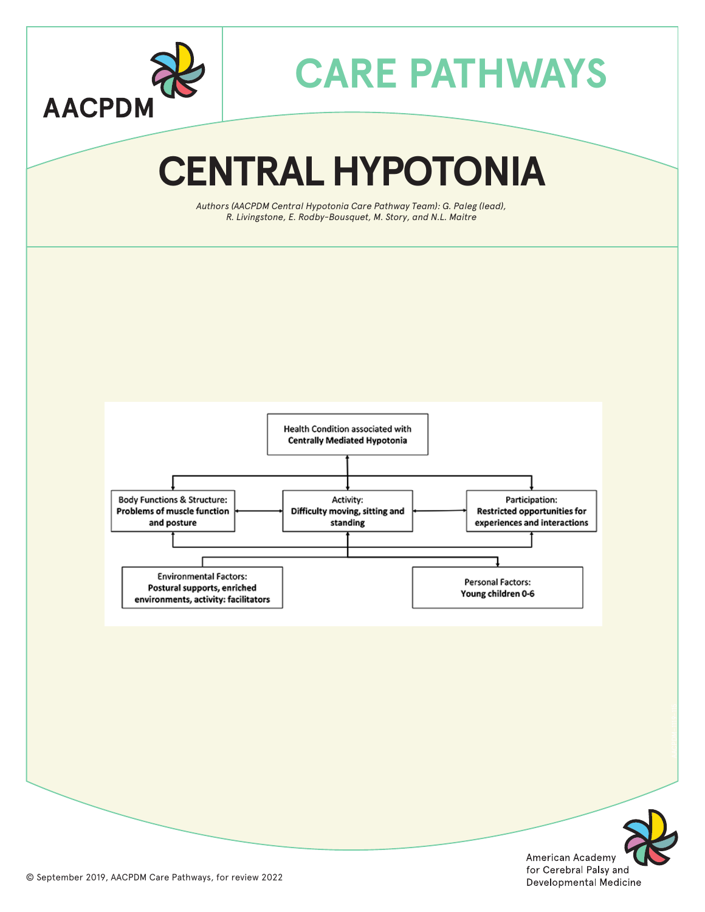

# **CENTRAL HYPOTONIA**

*Authors (AACPDM Central Hypotonia Care Pathway Team): G. Paleg (lead), R. Livingstone, E. Rodby-Bousquet, M. Story, and N.L. Maitre*





AACPDM-1119-115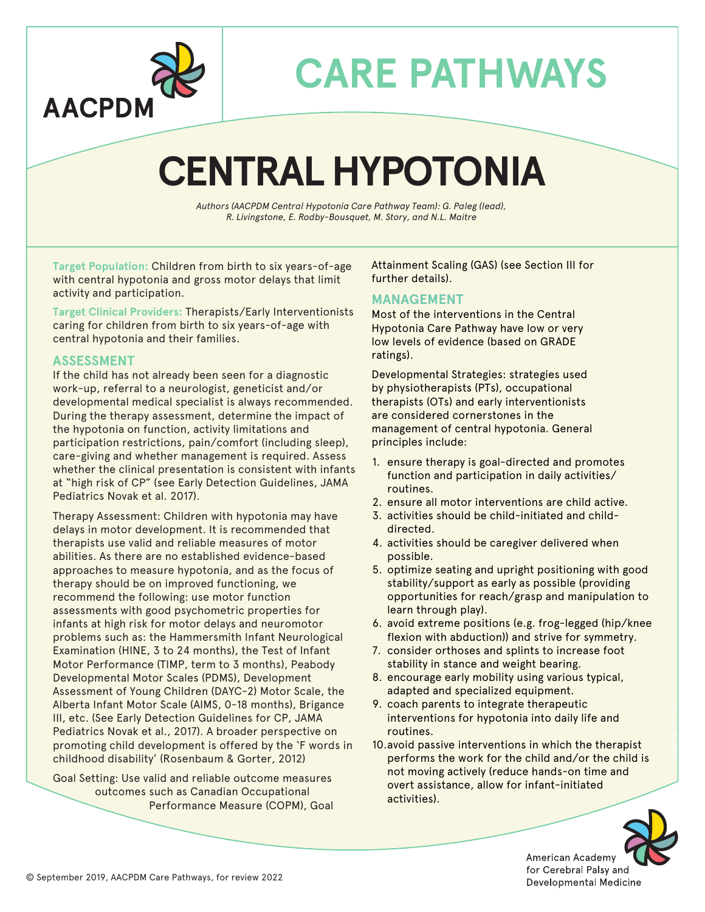

## **CENTRAL HYPOTONIA**

*Authors (AACPDM Central Hypotonia Care Pathway Team): G. Paleg (lead), R. Livingstone, E. Rodby-Bousquet, M. Story, and N.L. Maitre*

**Target Population:** Children from birth to six years-of-age with central hypotonia and gross motor delays that limit activity and participation.

**Target Clinical Providers:** Therapists/Early Interventionists caring for children from birth to six years-of-age with central hypotonia and their families.

#### **ASSESSMENT**

If the child has not already been seen for a diagnostic work-up, referral to a neurologist, geneticist and/or developmental medical specialist is always recommended. During the therapy assessment, determine the impact of the hypotonia on function, activity limitations and participation restrictions, pain/comfort (including sleep), care-giving and whether management is required. Assess whether the clinical presentation is consistent with infants at "high risk of CP" (see Early Detection Guidelines, JAMA Pediatrics Novak et al. 2017).

Therapy Assessment: Children with hypotonia may have delays in motor development. It is recommended that therapists use valid and reliable measures of motor abilities. As there are no established evidence-based approaches to measure hypotonia, and as the focus of therapy should be on improved functioning, we recommend the following: use motor function assessments with good psychometric properties for infants at high risk for motor delays and neuromotor problems such as: the Hammersmith Infant Neurological Examination (HINE, 3 to 24 months), the Test of Infant Motor Performance (TIMP, term to 3 months), Peabody Developmental Motor Scales (PDMS), Development Assessment of Young Children (DAYC-2) Motor Scale, the Alberta Infant Motor Scale (AIMS, 0-18 months), Brigance III, etc. (See Early Detection Guidelines for CP, JAMA Pediatrics Novak et al., 2017). A broader perspective on promoting child development is offered by the 'F words in childhood disability' (Rosenbaum & Gorter, 2012)

Goal Setting: Use valid and reliable outcome measures outcomes such as Canadian Occupational Performance Measure (COPM), Goal Attainment Scaling (GAS) (see Section III for further details).

#### **MANAGEMENT**

Most of the interventions in the Central Hypotonia Care Pathway have low or very low levels of evidence (based on GRADE ratings).

Developmental Strategies: strategies used by physiotherapists (PTs), occupational therapists (OTs) and early interventionists are considered cornerstones in the management of central hypotonia. General principles include:

- 1. ensure therapy is goal-directed and promotes function and participation in daily activities/ routines.
- 2. ensure all motor interventions are child active.
- 3. activities should be child-initiated and childdirected.
- 4. activities should be caregiver delivered when possible.
- 5. optimize seating and upright positioning with good stability/support as early as possible (providing opportunities for reach/grasp and manipulation to learn through play).
- 6. avoid extreme positions (e.g. frog-legged (hip/knee flexion with abduction)) and strive for symmetry.
- 7. consider orthoses and splints to increase foot stability in stance and weight bearing.
- 8. encourage early mobility using various typical, adapted and specialized equipment.
- 9. coach parents to integrate therapeutic interventions for hypotonia into daily life and routines.
- 10.avoid passive interventions in which the therapist performs the work for the child and/or the child is not moving actively (reduce hands-on time and overt assistance, allow for infant-initiated activities).



AACPDM-1119-115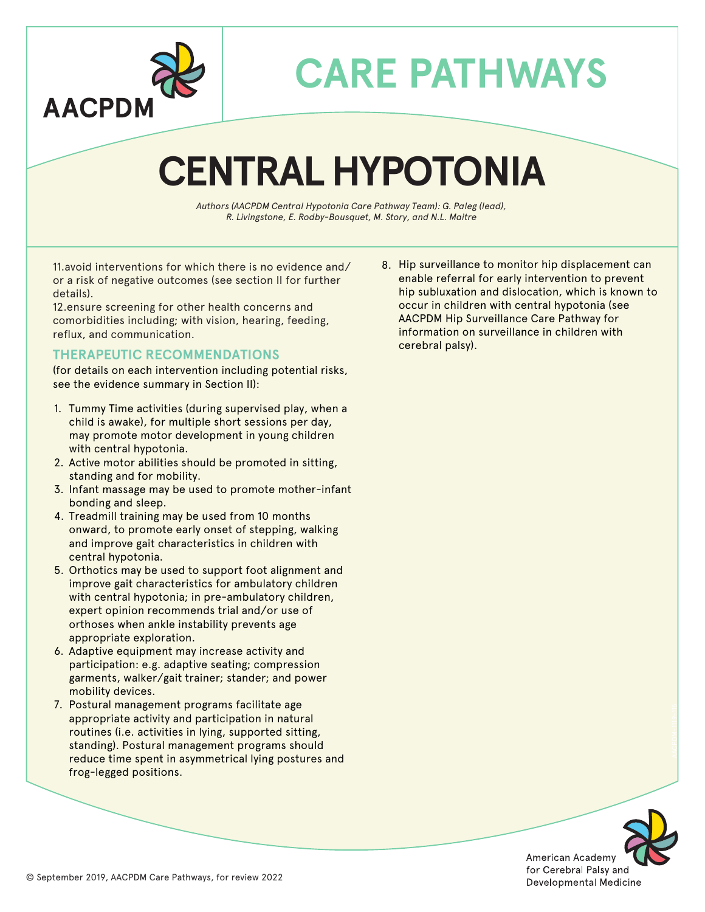

## **CENTRAL HYPOTONIA**

*Authors (AACPDM Central Hypotonia Care Pathway Team): G. Paleg (lead), R. Livingstone, E. Rodby-Bousquet, M. Story, and N.L. Maitre*

11.avoid interventions for which there is no evidence and/ or a risk of negative outcomes (see section II for further details).

12.ensure screening for other health concerns and comorbidities including; with vision, hearing, feeding, reflux, and communication.

#### **THERAPEUTIC RECOMMENDATIONS**

(for details on each intervention including potential risks, see the evidence summary in Section II):

- 1. Tummy Time activities (during supervised play, when a child is awake), for multiple short sessions per day, may promote motor development in young children with central hypotonia.
- 2. Active motor abilities should be promoted in sitting, standing and for mobility.
- 3. Infant massage may be used to promote mother-infant bonding and sleep.
- 4. Treadmill training may be used from 10 months onward, to promote early onset of stepping, walking and improve gait characteristics in children with central hypotonia.
- 5. Orthotics may be used to support foot alignment and improve gait characteristics for ambulatory children with central hypotonia; in pre-ambulatory children, expert opinion recommends trial and/or use of orthoses when ankle instability prevents age appropriate exploration.
- 6. Adaptive equipment may increase activity and participation: e.g. adaptive seating; compression garments, walker/gait trainer; stander; and power mobility devices.
- 7. Postural management programs facilitate age appropriate activity and participation in natural routines (i.e. activities in lying, supported sitting, standing). Postural management programs should reduce time spent in asymmetrical lying postures and frog-legged positions.

8. Hip surveillance to monitor hip displacement can enable referral for early intervention to prevent hip subluxation and dislocation, which is known to occur in children with central hypotonia (see AACPDM Hip Surveillance Care Pathway for information on surveillance in children with cerebral palsy).



AACPDM-1119-115